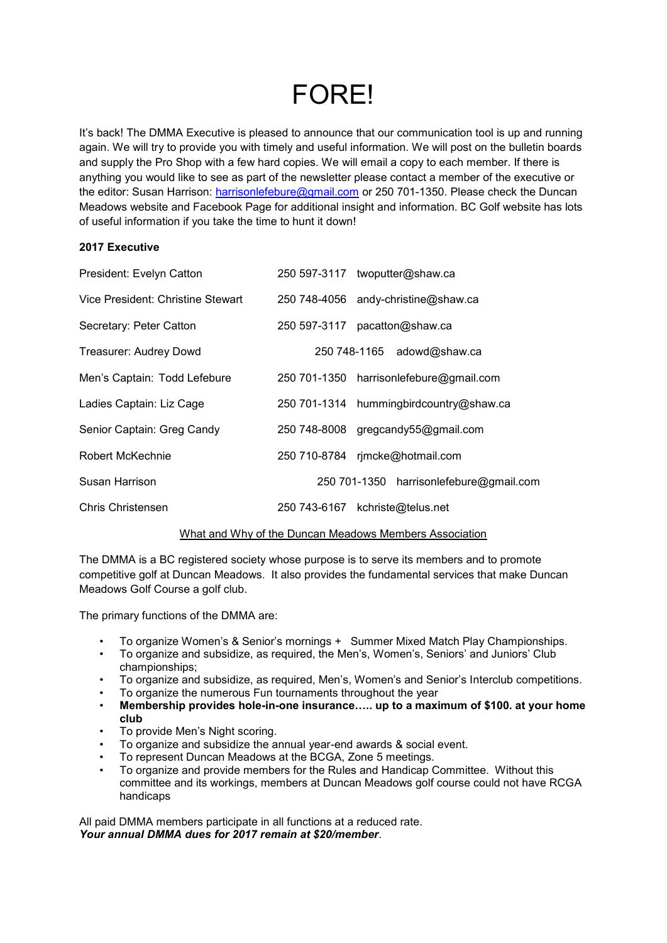# **FORF!**

It's back! The DMMA Executive is pleased to announce that our communication tool is up and running again. We will try to provide you with timely and useful information. We will post on the bulletin boards and supply the Pro Shop with a few hard copies. We will email a copy to each member. If there is anything you would like to see as part of the newsletter please contact a member of the executive or the editor: Susan Harrison: [harrisonlefebure@gmail.com](mailto:harrisonlefebure@gmail.com) or 250 701-1350. Please check the Duncan Meadows website and Facebook Page for additional insight and information. BC Golf website has lots of useful information if you take the time to hunt it down!

# **2017 Executive**

| President: Evelyn Catton          | 250 597-3117 twoputter@shaw.ca          |
|-----------------------------------|-----------------------------------------|
| Vice President: Christine Stewart | 250 748-4056 andy-christine@shaw.ca     |
| Secretary: Peter Catton           | 250 597-3117 pacatton@shaw.ca           |
| Treasurer: Audrey Dowd            | 250 748-1165 adowd@shaw.ca              |
| Men's Captain: Todd Lefebure      | 250 701-1350 harrisonlefebure@gmail.com |
| Ladies Captain: Liz Cage          | 250 701-1314 hummingbirdcountry@shaw.ca |
| Senior Captain: Greg Candy        | 250 748-8008 gregcandy55@gmail.com      |
| Robert McKechnie                  | 250 710-8784 rjmcke@hotmail.com         |
| Susan Harrison                    | 250 701-1350 harrisonlefebure@gmail.com |
| Chris Christensen                 | 250 743-6167 kchriste@telus.net         |

## What and Why of the Duncan Meadows Members Association

The DMMA is a BC registered society whose purpose is to serve its members and to promote competitive golf at Duncan Meadows. It also provides the fundamental services that make Duncan Meadows Golf Course a golf club.

The primary functions of the DMMA are:

- To organize Women's & Senior's mornings + Summer Mixed Match Play Championships.
- To organize and subsidize, as required, the Men's, Women's, Seniors' and Juniors' Club championships;
- To organize and subsidize, as required, Men's, Women's and Senior's Interclub competitions.
- To organize the numerous Fun tournaments throughout the year
- **Membership provides hole-in-one insurance….. up to a maximum of \$100. at your home club**
- To provide Men's Night scoring.
- To organize and subsidize the annual year-end awards & social event.
- To represent Duncan Meadows at the BCGA, Zone 5 meetings.
- To organize and provide members for the Rules and Handicap Committee. Without this committee and its workings, members at Duncan Meadows golf course could not have RCGA handicaps

All paid DMMA members participate in all functions at a reduced rate. *Your annual DMMA dues for 2017 remain at \$20/member*.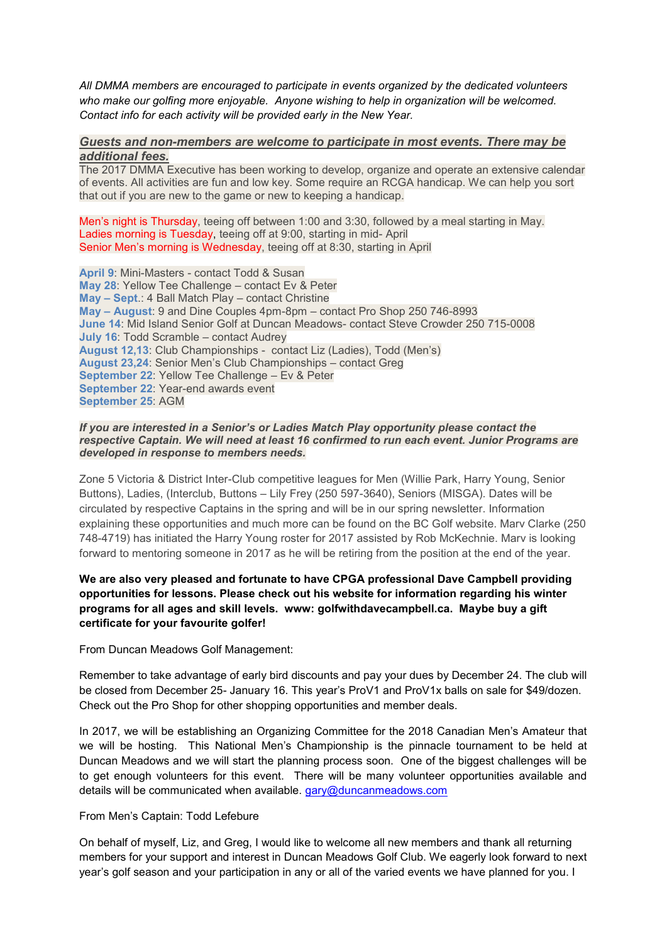*All DMMA members are encouraged to participate in events organized by the dedicated volunteers who make our golfing more enjoyable. Anyone wishing to help in organization will be welcomed. Contact info for each activity will be provided early in the New Year.* 

#### *Guests and non-members are welcome to participate in most events. There may be additional fees.*

The 2017 DMMA Executive has been working to develop, organize and operate an extensive calendar of events. All activities are fun and low key. Some require an RCGA handicap. We can help you sort that out if you are new to the game or new to keeping a handicap.

Men's night is Thursday, teeing off between 1:00 and 3:30, followed by a meal starting in May. Ladies morning is Tuesday, teeing off at 9:00, starting in mid- April Senior Men's morning is Wednesday, teeing off at 8:30, starting in April

**April 9**: Mini-Masters - contact Todd & Susan **May 28**: Yellow Tee Challenge – contact Ev & Peter **May – Sept**.: 4 Ball Match Play – contact Christine **May – August**: 9 and Dine Couples 4pm-8pm – contact Pro Shop 250 746-8993 **June 14**: Mid Island Senior Golf at Duncan Meadows- contact Steve Crowder 250 715-0008 **July 16**: Todd Scramble – contact Audrey **August 12,13**: Club Championships - contact Liz (Ladies), Todd (Men's) **August 23,24**: Senior Men's Club Championships – contact Greg **September 22**: Yellow Tee Challenge – Ev & Peter **September 22**: Year-end awards event **September 25**: AGM

#### *If you are interested in a Senior's or Ladies Match Play opportunity please contact the respective Captain. We will need at least 16 confirmed to run each event. Junior Programs are developed in response to members needs.*

Zone 5 Victoria & District Inter-Club competitive leagues for Men (Willie Park, Harry Young, Senior Buttons), Ladies, (Interclub, Buttons – Lily Frey (250 597-3640), Seniors (MISGA). Dates will be circulated by respective Captains in the spring and will be in our spring newsletter. Information explaining these opportunities and much more can be found on the BC Golf website. Marv Clarke (250 748-4719) has initiated the Harry Young roster for 2017 assisted by Rob McKechnie. Marv is looking forward to mentoring someone in 2017 as he will be retiring from the position at the end of the year.

# **We are also very pleased and fortunate to have CPGA professional Dave Campbell providing opportunities for lessons. Please check out his website for information regarding his winter programs for all ages and skill levels. www: golfwithdavecampbell.ca. Maybe buy a gift certificate for your favourite golfer!**

From Duncan Meadows Golf Management:

Remember to take advantage of early bird discounts and pay your dues by December 24. The club will be closed from December 25- January 16. This year's ProV1 and ProV1x balls on sale for \$49/dozen. Check out the Pro Shop for other shopping opportunities and member deals.

In 2017, we will be establishing an Organizing Committee for the 2018 Canadian Men's Amateur that we will be hosting. This National Men's Championship is the pinnacle tournament to be held at Duncan Meadows and we will start the planning process soon. One of the biggest challenges will be to get enough volunteers for this event. There will be many volunteer opportunities available and details will be communicated when available. [gary@duncanmeadows.com](mailto:gary@duncanmeadows.com)

### From Men's Captain: Todd Lefebure

On behalf of myself, Liz, and Greg, I would like to welcome all new members and thank all returning members for your support and interest in Duncan Meadows Golf Club. We eagerly look forward to next year's golf season and your participation in any or all of the varied events we have planned for you. I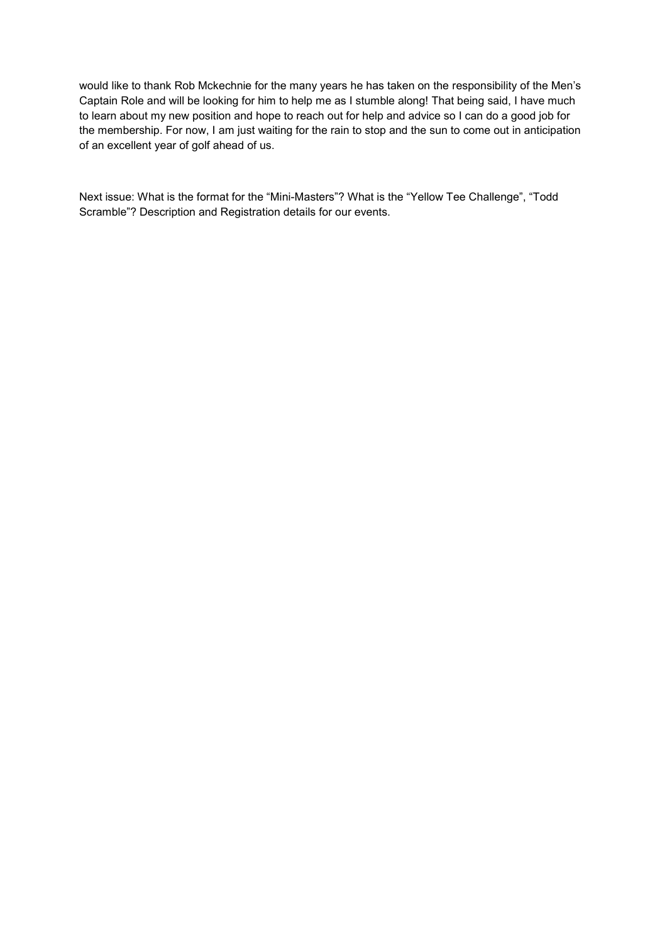would like to thank Rob Mckechnie for the many years he has taken on the responsibility of the Men's Captain Role and will be looking for him to help me as I stumble along! That being said, I have much to learn about my new position and hope to reach out for help and advice so I can do a good job for the membership. For now, I am just waiting for the rain to stop and the sun to come out in anticipation of an excellent year of golf ahead of us.

Next issue: What is the format for the "Mini-Masters"? What is the "Yellow Tee Challenge", "Todd Scramble"? Description and Registration details for our events.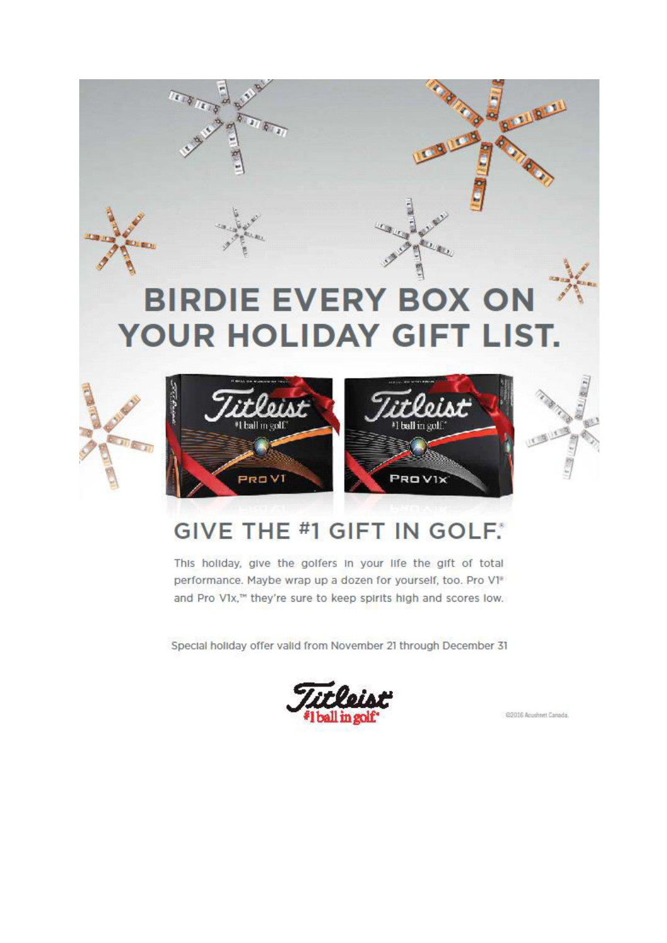

# **GIVE THE #1 GIFT IN GOLF.**

This holiday, give the golfers in your life the gift of total performance. Maybe wrap up a dozen for yourself, too. Pro V1<sup>®</sup> and Pro V1x,™ they're sure to keep spirits high and scores low.

Special holiday offer valid from November 21 through December 31



@2016 Acustmet Canada.